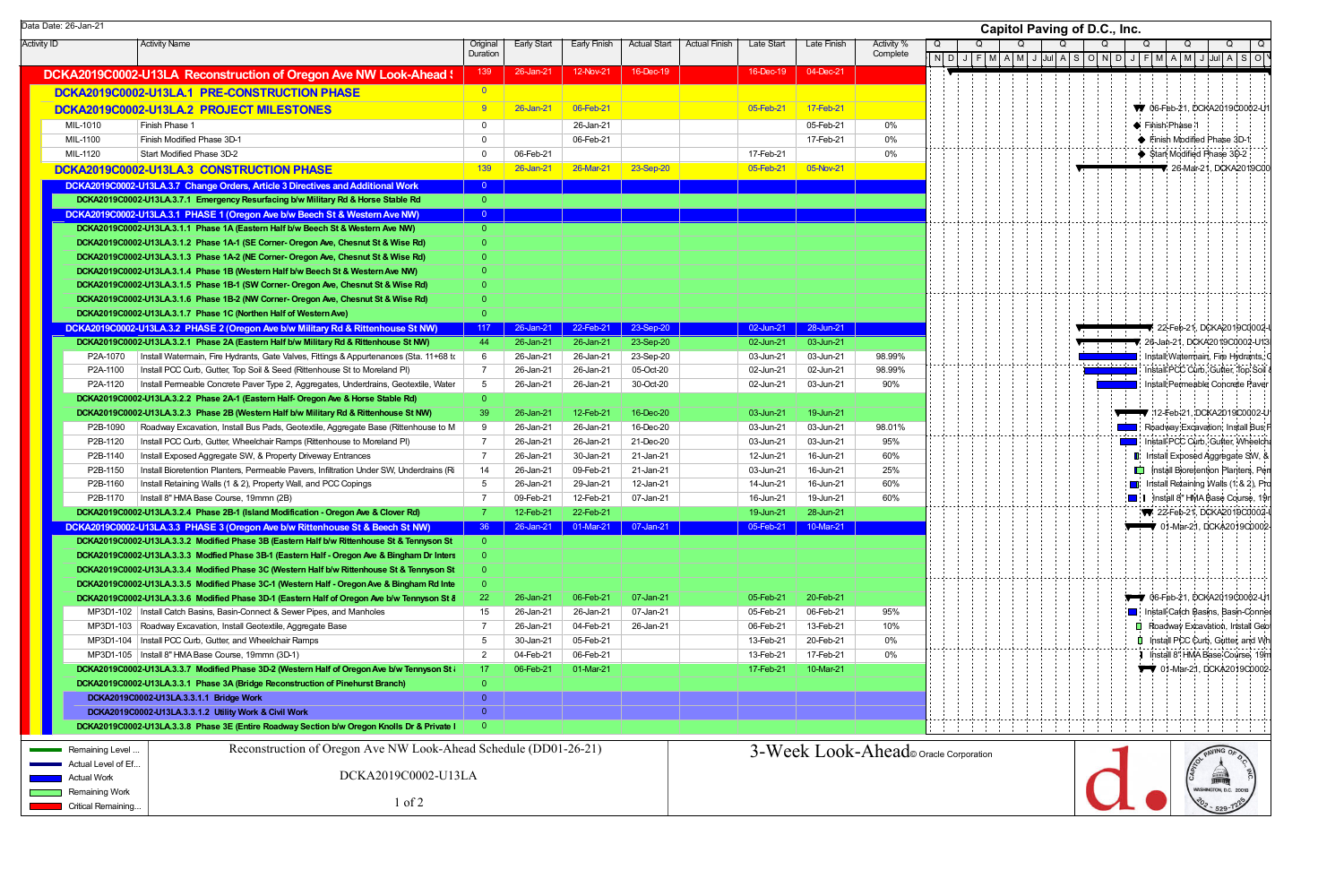|                    | Data Date: 26-Jan-21 |                                                                                                                                                                            |                         |                    |                               |                     |                      |            |             |                                      |   |  |   | <b>Capitol Paving of D.C., Inc.</b>                                                                                                                                                                                             |  |
|--------------------|----------------------|----------------------------------------------------------------------------------------------------------------------------------------------------------------------------|-------------------------|--------------------|-------------------------------|---------------------|----------------------|------------|-------------|--------------------------------------|---|--|---|---------------------------------------------------------------------------------------------------------------------------------------------------------------------------------------------------------------------------------|--|
| <b>Activity ID</b> |                      | <b>Activity Name</b>                                                                                                                                                       | Original                | <b>Early Start</b> | Early Finish                  | <b>Actual Start</b> | <b>Actual Finish</b> | Late Start | Late Finish | Activity %                           | Q |  | O |                                                                                                                                                                                                                                 |  |
|                    |                      |                                                                                                                                                                            | Duration                |                    |                               |                     |                      |            |             | Complete                             |   |  |   | $\boxed{ \mid \text{N} \mid \text{D} \mid \text{J} \mid \text{F} \mid \text{M} \mid \text{A} \mid \text{M} \mid \text{J} \mid \text{Jul} \mid \text{A} \mid \text{S} \mid \text{O} \mid \text{N} \mid \text{D} \mid \text{J} }$ |  |
|                    |                      | DCKA2019C0002-U13LA Reconstruction of Oregon Ave NW Look-Ahead \                                                                                                           | 139                     | 26-Jan-21          | 12-Nov-21                     | 16-Dec-19           |                      | 16-Dec-19  | 04-Dec-21   |                                      |   |  |   |                                                                                                                                                                                                                                 |  |
|                    |                      | DCKA2019C0002-U13LA.1 PRE-CONSTRUCTION PHASE                                                                                                                               | $\overline{\mathbf{0}}$ |                    |                               |                     |                      |            |             |                                      |   |  |   |                                                                                                                                                                                                                                 |  |
|                    |                      | DCKA2019C0002-U13LA.2 PROJECT MILESTONES                                                                                                                                   | -9                      | 26-Jan-21          | 06-Feb-21                     |                     |                      | 05-Feb-21  | 17-Feb-21   |                                      |   |  |   |                                                                                                                                                                                                                                 |  |
|                    | MIL-1010             | Finish Phase 1                                                                                                                                                             | $\Omega$                |                    | 26-Jan-21                     |                     |                      |            | 05-Feb-21   | $0\%$                                |   |  |   |                                                                                                                                                                                                                                 |  |
|                    | MIL-1100             | Finish Modified Phase 3D-1                                                                                                                                                 | $\Omega$                |                    | 06-Feb-21                     |                     |                      |            | 17-Feb-21   | 0%                                   |   |  |   |                                                                                                                                                                                                                                 |  |
|                    | MIL-1120             | Start Modified Phase 3D-2                                                                                                                                                  | $\Omega$                | 06-Feb-21          |                               |                     |                      | 17-Feb-21  |             | $0\%$                                |   |  |   |                                                                                                                                                                                                                                 |  |
|                    |                      | DCKA2019C0002-U13LA.3 CONSTRUCTION PHASE                                                                                                                                   | 139                     | 26-Jan-21          | 26-Mar-21                     | 23-Sep-20           |                      | 05-Feb-21  | 05-Nov-21   |                                      |   |  |   |                                                                                                                                                                                                                                 |  |
|                    |                      | DCKA2019C0002-U13LA.3.7 Change Orders, Article 3 Directives and Additional Work                                                                                            | $\overline{0}$          |                    |                               |                     |                      |            |             |                                      |   |  |   |                                                                                                                                                                                                                                 |  |
|                    |                      | DCKA2019C0002-U13LA.3.7.1 Emergency Resurfacing b/w Military Rd & Horse Stable Rd                                                                                          | $\overline{0}$          |                    |                               |                     |                      |            |             |                                      |   |  |   |                                                                                                                                                                                                                                 |  |
|                    |                      | DCKA2019C0002-U13LA.3.1 PHASE 1 (Oregon Ave b/w Beech St & Western Ave NW)                                                                                                 | $\overline{0}$          |                    |                               |                     |                      |            |             |                                      |   |  |   |                                                                                                                                                                                                                                 |  |
|                    |                      | DCKA2019C0002-U13LA.3.1.1 Phase 1A (Eastern Half b/w Beech St & Western Ave NW)                                                                                            | $\Omega$                |                    |                               |                     |                      |            |             |                                      |   |  |   |                                                                                                                                                                                                                                 |  |
|                    |                      | DCKA2019C0002-U13LA.3.1.2 Phase 1A-1 (SE Corner- Oregon Ave, Chesnut St & Wise Rd)                                                                                         |                         |                    |                               |                     |                      |            |             |                                      |   |  |   |                                                                                                                                                                                                                                 |  |
|                    |                      | DCKA2019C0002-U13LA.3.1.3 Phase 1A-2 (NE Corner-Oregon Ave, Chesnut St & Wise Rd)                                                                                          | 0                       |                    |                               |                     |                      |            |             |                                      |   |  |   |                                                                                                                                                                                                                                 |  |
|                    |                      | DCKA2019C0002-U13LA.3.1.4 Phase 1B (Western Half b/w Beech St & Western Ave NW)                                                                                            | O                       |                    |                               |                     |                      |            |             |                                      |   |  |   |                                                                                                                                                                                                                                 |  |
|                    |                      | DCKA2019C0002-U13LA.3.1.5 Phase 1B-1 (SW Corner- Oregon Ave, Chesnut St & Wise Rd)                                                                                         | $\Omega$                |                    |                               |                     |                      |            |             |                                      |   |  |   |                                                                                                                                                                                                                                 |  |
|                    |                      | DCKA2019C0002-U13LA.3.1.6 Phase 1B-2 (NW Corner- Oregon Ave, Chesnut St & Wise Rd)                                                                                         | $\Omega$                |                    |                               |                     |                      |            |             |                                      |   |  |   |                                                                                                                                                                                                                                 |  |
|                    |                      | DCKA2019C0002-U13LA.3.1.7 Phase 1C (Northen Half of Western Ave)                                                                                                           |                         |                    |                               |                     |                      |            |             |                                      |   |  |   |                                                                                                                                                                                                                                 |  |
|                    |                      | DCKA2019C0002-U13LA.3.2 PHASE 2 (Oregon Ave b/w Military Rd & Rittenhouse St NW)                                                                                           | 117                     | $26$ -Jan-21       | 22-Feb-21                     | 23-Sep-20           |                      | 02-Jun-21  | 28-Jun-21   |                                      |   |  |   |                                                                                                                                                                                                                                 |  |
|                    |                      | DCKA2019C0002-U13LA.3.2.1 Phase 2A (Eastern Half b/w Military Rd & Rittenhouse St NW)                                                                                      | 44                      | 26-Jan-21          | 26-Jan-21                     | 23-Sep-20           |                      | 02-Jun-21  | 03-Jun-21   |                                      |   |  |   |                                                                                                                                                                                                                                 |  |
|                    | P2A-1070             | Install Watermain, Fire Hydrants, Gate Valves, Fittings & Appurtenances (Sta. 11+68 to                                                                                     | -6                      | 26-Jan-21          | 26-Jan-21                     | 23-Sep-20           |                      | 03-Jun-21  | 03-Jun-21   | 98.99%                               |   |  |   |                                                                                                                                                                                                                                 |  |
|                    | P2A-1100             | Install PCC Curb, Gutter, Top Soil & Seed (Rittenhouse St to Moreland PI)                                                                                                  | $\overline{7}$          | 26-Jan-21          | 26-Jan-21                     | 05-Oct-20           |                      | 02-Jun-21  | 02-Jun-21   | 98.99%                               |   |  |   |                                                                                                                                                                                                                                 |  |
|                    | P2A-1120             | Install Permeable Concrete Paver Type 2, Aggregates, Underdrains, Geotextile, Water                                                                                        | 5                       | 26-Jan-21          | 26-Jan-21                     | 30-Oct-20           |                      | 02-Jun-21  | 03-Jun-21   | 90%                                  |   |  |   |                                                                                                                                                                                                                                 |  |
|                    |                      | DCKA2019C0002-U13LA.3.2.2 Phase 2A-1 (Eastern Half- Oregon Ave & Horse Stable Rd)                                                                                          | $\Omega$                |                    |                               |                     |                      |            |             |                                      |   |  |   |                                                                                                                                                                                                                                 |  |
|                    |                      | DCKA2019C0002-U13LA.3.2.3 Phase 2B (Western Half b/w Military Rd & Rittenhouse St NW)                                                                                      | -39                     | 26-Jan-21          | 12-Feb-21                     | 16-Dec-20           |                      | 03-Jun-21  | 19-Jun-21   |                                      |   |  |   |                                                                                                                                                                                                                                 |  |
|                    | P2B-1090             | Roadway Excavation, Install Bus Pads, Geotextile, Aggregate Base (Rittenhouse to M                                                                                         | 9                       | 26-Jan-21          | 26-Jan-21                     | 16-Dec-20           |                      | 03-Jun-21  | 03-Jun-21   | 98.01%                               |   |  |   |                                                                                                                                                                                                                                 |  |
|                    | P2B-1120             | Install PCC Curb, Gutter, Wheelchair Ramps (Rittenhouse to Moreland PI)                                                                                                    | - 7                     | 26-Jan-21          | 26-Jan-21                     | 21-Dec-20           |                      | 03-Jun-21  | 03-Jun-21   | 95%                                  |   |  |   |                                                                                                                                                                                                                                 |  |
|                    | P2B-1140             | Install Exposed Aggregate SW, & Property Driveway Entrances                                                                                                                | $\overline{7}$          | 26-Jan-21          | 30-Jan-21                     | 21-Jan-21           |                      | 12-Jun-21  | 16-Jun-21   | 60%                                  |   |  |   |                                                                                                                                                                                                                                 |  |
|                    | P2B-1150             | Install Bioretention Planters, Permeable Pavers, Infiltration Under SW, Underdrains (Ri                                                                                    | 14                      | 26-Jan-21          | 09-Feb-21                     | 21-Jan-21           |                      | 03-Jun-21  | 16-Jun-21   | 25%                                  |   |  |   |                                                                                                                                                                                                                                 |  |
|                    | P2B-1160             | Install Retaining Walls (1 & 2), Property Wall, and PCC Copings                                                                                                            | 5                       | 26-Jan-21          | 29-Jan-21                     | 12-Jan-21           |                      | 14-Jun-21  | 16-Jun-21   | 60%                                  |   |  |   |                                                                                                                                                                                                                                 |  |
|                    | P2B-1170             | Install 8" HMA Base Course, 19mmn (2B)                                                                                                                                     |                         | 09-Feb-21          | 12-Feb-21                     | 07-Jan-21           |                      | 16-Jun-21  | 19-Jun-21   | 60%                                  |   |  |   |                                                                                                                                                                                                                                 |  |
|                    |                      | DCKA2019C0002-U13LA.3.2.4 Phase 2B-1 (Island Modification - Oregon Ave & Clover Rd)                                                                                        | $\overline{7}$          | 12-Feb-21          | 22-Feb-21                     |                     |                      | 19-Jun-21  | 28-Jun-21   |                                      |   |  |   |                                                                                                                                                                                                                                 |  |
|                    |                      | DCKA2019C0002-U13LA.3.3 PHASE 3 (Oregon Ave b/w Rittenhouse St & Beech St NW)                                                                                              | 36 <sup>°</sup>         |                    | 26-Jan-21 01-Mar-21 07-Jan-21 |                     |                      | 05-Feb-21  | 10-Mar-21   |                                      |   |  |   |                                                                                                                                                                                                                                 |  |
|                    |                      | DCKA2019C0002-U13LA.3.3.2 Modified Phase 3B (Eastern Half b/w Rittenhouse St & Tennyson St                                                                                 |                         |                    |                               |                     |                      |            |             |                                      |   |  |   |                                                                                                                                                                                                                                 |  |
|                    |                      | DCKA2019C0002-U13LA.3.3.3 Modfied Phase 3B-1 (Eastern Half - Oregon Ave & Bingham Dr Inters                                                                                |                         |                    |                               |                     |                      |            |             |                                      |   |  |   |                                                                                                                                                                                                                                 |  |
|                    |                      | DCKA2019C0002-U13LA.3.3.4 Modified Phase 3C (Western Half b/w Rittenhouse St & Tennyson St                                                                                 |                         |                    |                               |                     |                      |            |             |                                      |   |  |   |                                                                                                                                                                                                                                 |  |
|                    |                      | DCKA2019C0002-U13LA.3.3.5 Modified Phase 3C-1 (Western Half - Oregon Ave & Bingham Rd Inte                                                                                 |                         | 26-Jan-21          | 06-Feb-21                     | 07-Jan-21           |                      | 05-Feb-21  | 20-Feb-21   |                                      |   |  |   |                                                                                                                                                                                                                                 |  |
|                    |                      | DCKA2019C0002-U13LA.3.3.6 Modified Phase 3D-1 (Eastern Half of Oregon Ave b/w Tennyson St &<br>MP3D1-102   Install Catch Basins, Basin-Connect & Sewer Pipes, and Manholes | 22<br>15                | 26-Jan-21          | 26-Jan-21                     | 07-Jan-21           |                      | 05-Feb-21  | 06-Feb-21   | 95%                                  |   |  |   |                                                                                                                                                                                                                                 |  |
|                    |                      | MP3D1-103   Roadway Excavation, Install Geotextile, Aggregate Base                                                                                                         | -7                      | 26-Jan-21          | 04-Feb-21                     | 26-Jan-21           |                      | 06-Feb-21  | 13-Feb-21   | 10%                                  |   |  |   |                                                                                                                                                                                                                                 |  |
|                    |                      | MP3D1-104   Install PCC Curb, Gutter, and Wheelchair Ramps                                                                                                                 | 5                       | 30-Jan-21          | 05-Feb-21                     |                     |                      | 13-Feb-21  | 20-Feb-21   | 0%                                   |   |  |   |                                                                                                                                                                                                                                 |  |
|                    |                      | MP3D1-105   Install 8" HMA Base Course, 19mmn (3D-1)                                                                                                                       | $\overline{2}$          | 04-Feb-21          | 06-Feb-21                     |                     |                      | 13-Feb-21  | 17-Feb-21   | 0%                                   |   |  |   |                                                                                                                                                                                                                                 |  |
|                    |                      | DCKA2019C0002-U13LA.3.3.7 Modified Phase 3D-2 (Western Half of Oregon Ave b/w Tennyson St                                                                                  | 17                      | 06-Feb-21          | 01-Mar-21                     |                     |                      | 17-Feb-21  | 10-Mar-21   |                                      |   |  |   |                                                                                                                                                                                                                                 |  |
|                    |                      | DCKA2019C0002-U13LA.3.3.1 Phase 3A (Bridge Reconstruction of Pinehurst Branch)                                                                                             |                         |                    |                               |                     |                      |            |             |                                      |   |  |   |                                                                                                                                                                                                                                 |  |
|                    |                      | DCKA2019C0002-U13LA.3.3.1.1 Bridge Work                                                                                                                                    | $\overline{0}$          |                    |                               |                     |                      |            |             |                                      |   |  |   |                                                                                                                                                                                                                                 |  |
|                    |                      | DCKA2019C0002-U13LA.3.3.1.2 Utility Work & Civil Work                                                                                                                      | $\overline{0}$          |                    |                               |                     |                      |            |             |                                      |   |  |   |                                                                                                                                                                                                                                 |  |
|                    |                      | DCKA2019C0002-U13LA.3.3.8 Phase 3E (Entire Roadway Section b/w Oregon Knolls Dr & Private                                                                                  | $\Omega$                |                    |                               |                     |                      |            |             |                                      |   |  |   |                                                                                                                                                                                                                                 |  |
|                    |                      |                                                                                                                                                                            |                         |                    |                               |                     |                      |            |             |                                      |   |  |   |                                                                                                                                                                                                                                 |  |
|                    | Remaining Level      | Reconstruction of Oregon Ave NW Look-Ahead Schedule (DD01-26-21)                                                                                                           |                         |                    |                               |                     |                      |            |             | 3-Week Look-Ahead Oracle Corporation |   |  |   |                                                                                                                                                                                                                                 |  |
|                    | Actual Level of Ef   |                                                                                                                                                                            |                         |                    |                               |                     |                      |            |             |                                      |   |  |   |                                                                                                                                                                                                                                 |  |
|                    | Actual Work          | DCKA2019C0002-U13LA                                                                                                                                                        |                         |                    |                               |                     |                      |            |             |                                      |   |  |   |                                                                                                                                                                                                                                 |  |
|                    | Remaining Work       | $1$ of $2$                                                                                                                                                                 |                         |                    |                               |                     |                      |            |             |                                      |   |  |   |                                                                                                                                                                                                                                 |  |
|                    | Critical Remaining   |                                                                                                                                                                            |                         |                    |                               |                     |                      |            |             |                                      |   |  |   |                                                                                                                                                                                                                                 |  |